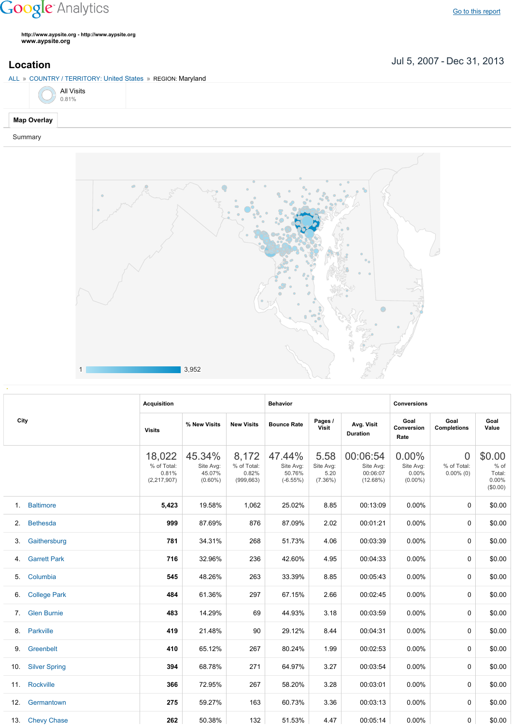## **Google** Analytics

**http://www.aypsite.org http://www.aypsite.org www.aypsite.org**

Jul 5, 2007 Dec 31, 2013 **Location**



Summary



|      |                      | <b>Acquisition</b>                              |                                             |                                             | <b>Behavior</b>                             |                                         |                                               | <b>Conversions</b>                        |                                         |                                                 |  |
|------|----------------------|-------------------------------------------------|---------------------------------------------|---------------------------------------------|---------------------------------------------|-----------------------------------------|-----------------------------------------------|-------------------------------------------|-----------------------------------------|-------------------------------------------------|--|
| City |                      | <b>Visits</b>                                   | % New Visits                                | <b>New Visits</b>                           | <b>Bounce Rate</b>                          | Pages /<br><b>Visit</b>                 | Avg. Visit<br>Duration                        | Goal<br>Conversion<br>Rate                | Goal<br><b>Completions</b>              | Goal<br>Value                                   |  |
|      |                      | 18,022<br>% of Total:<br>0.81%<br>(2, 217, 907) | 45.34%<br>Site Avg:<br>45.07%<br>$(0.60\%)$ | 8,172<br>% of Total:<br>0.82%<br>(999, 663) | 47.44%<br>Site Avg:<br>50.76%<br>$(-6.55%)$ | 5.58<br>Site Avg:<br>5.20<br>$(7.36\%)$ | 00:06:54<br>Site Avg:<br>00:06:07<br>(12.68%) | 0.00%<br>Site Avg:<br>0.00%<br>$(0.00\%)$ | $\Omega$<br>% of Total:<br>$0.00\%$ (0) | \$0.00<br>$%$ of<br>Total:<br>0.00%<br>(\$0.00) |  |
| 1.   | <b>Baltimore</b>     | 5,423                                           | 19.58%                                      | 1,062                                       | 25.02%                                      | 8.85                                    | 00:13:09                                      | 0.00%                                     | 0                                       | \$0.00                                          |  |
| 2.   | <b>Bethesda</b>      | 999                                             | 87.69%                                      | 876                                         | 87.09%                                      | 2.02                                    | 00:01:21                                      | 0.00%                                     | 0                                       | \$0.00                                          |  |
| 3.   | Gaithersburg         | 781                                             | 34.31%                                      | 268                                         | 51.73%                                      | 4.06                                    | 00:03:39                                      | 0.00%                                     | 0                                       | \$0.00                                          |  |
| 4.   | <b>Garrett Park</b>  | 716                                             | 32.96%                                      | 236                                         | 42.60%                                      | 4.95                                    | 00:04:33                                      | 0.00%                                     | 0                                       | \$0.00                                          |  |
| 5.   | Columbia             | 545                                             | 48.26%                                      | 263                                         | 33.39%                                      | 8.85                                    | 00:05:43                                      | 0.00%                                     | 0                                       | \$0.00                                          |  |
| 6.   | <b>College Park</b>  | 484                                             | 61.36%                                      | 297                                         | 67.15%                                      | 2.66                                    | 00:02:45                                      | 0.00%                                     | 0                                       | \$0.00                                          |  |
| 7.   | <b>Glen Burnie</b>   | 483                                             | 14.29%                                      | 69                                          | 44.93%                                      | 3.18                                    | 00:03:59                                      | 0.00%                                     | $\Omega$                                | \$0.00                                          |  |
| 8.   | Parkville            | 419                                             | 21.48%                                      | 90                                          | 29.12%                                      | 8.44                                    | 00:04:31                                      | 0.00%                                     | 0                                       | \$0.00                                          |  |
| 9.   | Greenbelt            | 410                                             | 65.12%                                      | 267                                         | 80.24%                                      | 1.99                                    | 00:02:53                                      | $0.00\%$                                  | 0                                       | \$0.00                                          |  |
| 10.  | <b>Silver Spring</b> | 394                                             | 68.78%                                      | 271                                         | 64.97%                                      | 3.27                                    | 00:03:54                                      | 0.00%                                     | 0                                       | \$0.00                                          |  |
| 11.  | Rockville            | 366                                             | 72.95%                                      | 267                                         | 58.20%                                      | 3.28                                    | 00:03:01                                      | 0.00%                                     | 0                                       | \$0.00                                          |  |
| 12.  | Germantown           | 275                                             | 59.27%                                      | 163                                         | 60.73%                                      | 3.36                                    | 00:03:13                                      | 0.00%                                     | 0                                       | \$0.00                                          |  |
|      | 13. Chevy Chase      | 262                                             | 50.38%                                      | 132                                         | 51.53%                                      | 4.47                                    | 00:05:14                                      | $0.00\%$                                  | 0                                       | \$0.00                                          |  |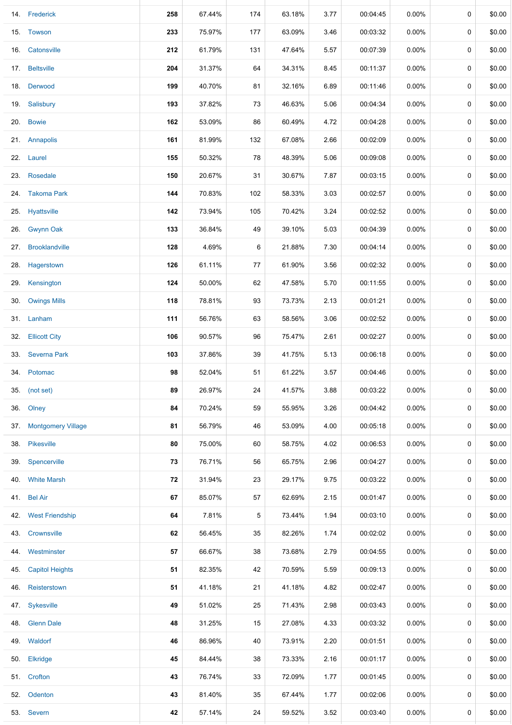|     | 14. Frederick          | 258 | 67.44% | 174 | 63.18% | 3.77 | 00:04:45 | $0.00\%$ | 0 | \$0.00 |
|-----|------------------------|-----|--------|-----|--------|------|----------|----------|---|--------|
|     | 15. Towson             | 233 | 75.97% | 177 | 63.09% | 3.46 | 00:03:32 | $0.00\%$ | 0 | \$0.00 |
| 16. | Catonsville            | 212 | 61.79% | 131 | 47.64% | 5.57 | 00:07:39 | 0.00%    | 0 | \$0.00 |
|     | 17. Beltsville         | 204 | 31.37% | 64  | 34.31% | 8.45 | 00:11:37 | $0.00\%$ | 0 | \$0.00 |
|     | 18. Derwood            | 199 | 40.70% | 81  | 32.16% | 6.89 | 00:11:46 | $0.00\%$ | 0 | \$0.00 |
|     | 19. Salisbury          | 193 | 37.82% | 73  | 46.63% | 5.06 | 00:04:34 | $0.00\%$ | 0 | \$0.00 |
| 20. | <b>Bowie</b>           | 162 | 53.09% | 86  | 60.49% | 4.72 | 00:04:28 | $0.00\%$ | 0 | \$0.00 |
|     | 21. Annapolis          | 161 | 81.99% | 132 | 67.08% | 2.66 | 00:02:09 | $0.00\%$ | 0 | \$0.00 |
|     | 22. Laurel             | 155 | 50.32% | 78  | 48.39% | 5.06 | 00:09:08 | $0.00\%$ | 0 | \$0.00 |
|     | 23. Rosedale           | 150 | 20.67% | 31  | 30.67% | 7.87 | 00:03:15 | $0.00\%$ | 0 | \$0.00 |
|     | 24. Takoma Park        | 144 | 70.83% | 102 | 58.33% | 3.03 | 00:02:57 | $0.00\%$ | 0 | \$0.00 |
|     | 25. Hyattsville        | 142 | 73.94% | 105 | 70.42% | 3.24 | 00:02:52 | $0.00\%$ | 0 | \$0.00 |
|     | 26. Gwynn Oak          | 133 | 36.84% | 49  | 39.10% | 5.03 | 00:04:39 | $0.00\%$ | 0 | \$0.00 |
|     | 27. Brooklandville     | 128 | 4.69%  | 6   | 21.88% | 7.30 | 00:04:14 | $0.00\%$ | 0 | \$0.00 |
|     | 28. Hagerstown         | 126 | 61.11% | 77  | 61.90% | 3.56 | 00:02:32 | $0.00\%$ | 0 | \$0.00 |
|     | 29. Kensington         | 124 | 50.00% | 62  | 47.58% | 5.70 | 00:11:55 | $0.00\%$ | 0 | \$0.00 |
|     | 30. Owings Mills       | 118 | 78.81% | 93  | 73.73% | 2.13 | 00:01:21 | $0.00\%$ | 0 | \$0.00 |
|     | 31. Lanham             | 111 | 56.76% | 63  | 58.56% | 3.06 | 00:02:52 | $0.00\%$ | 0 | \$0.00 |
| 32. | <b>Ellicott City</b>   | 106 | 90.57% | 96  | 75.47% | 2.61 | 00:02:27 | $0.00\%$ | 0 | \$0.00 |
| 33. | <b>Severna Park</b>    | 103 | 37.86% | 39  | 41.75% | 5.13 | 00:06:18 | $0.00\%$ | 0 | \$0.00 |
|     | 34. Potomac            | 98  | 52.04% | 51  | 61.22% | 3.57 | 00:04:46 | $0.00\%$ | 0 | \$0.00 |
|     | 35. (not set)          | 89  | 26.97% | 24  | 41.57% | 3.88 | 00:03:22 | $0.00\%$ | 0 | \$0.00 |
|     | 36. Olney              | 84  | 70.24% | 59  | 55.95% | 3.26 | 00:04:42 | $0.00\%$ | 0 | \$0.00 |
|     | 37. Montgomery Village | 81  | 56.79% | 46  | 53.09% | 4.00 | 00:05:18 | $0.00\%$ | 0 | \$0.00 |
|     | 38. Pikesville         | 80  | 75.00% | 60  | 58.75% | 4.02 | 00:06:53 | $0.00\%$ | 0 | \$0.00 |
|     | 39. Spencerville       | 73  | 76.71% | 56  | 65.75% | 2.96 | 00:04:27 | $0.00\%$ | 0 | \$0.00 |
|     | 40. White Marsh        | 72  | 31.94% | 23  | 29.17% | 9.75 | 00:03:22 | $0.00\%$ | 0 | \$0.00 |
|     | 41. Bel Air            | 67  | 85.07% | 57  | 62.69% | 2.15 | 00:01:47 | $0.00\%$ | 0 | \$0.00 |
|     | 42. West Friendship    | 64  | 7.81%  | 5   | 73.44% | 1.94 | 00:03:10 | $0.00\%$ | 0 | \$0.00 |
|     | 43. Crownsville        | 62  | 56.45% | 35  | 82.26% | 1.74 | 00:02:02 | $0.00\%$ | 0 | \$0.00 |
| 44. | Westminster            | 57  | 66.67% | 38  | 73.68% | 2.79 | 00:04:55 | $0.00\%$ | 0 | \$0.00 |
| 45. | <b>Capitol Heights</b> | 51  | 82.35% | 42  | 70.59% | 5.59 | 00:09:13 | $0.00\%$ | 0 | \$0.00 |
|     | 46. Reisterstown       | 51  | 41.18% | 21  | 41.18% | 4.82 | 00:02:47 | $0.00\%$ | 0 | \$0.00 |
|     | 47. Sykesville         | 49  | 51.02% | 25  | 71.43% | 2.98 | 00:03:43 | $0.00\%$ | 0 | \$0.00 |
|     | 48. Glenn Dale         | 48  | 31.25% | 15  | 27.08% | 4.33 | 00:03:32 | $0.00\%$ | 0 | \$0.00 |
|     | 49. Waldorf            | 46  | 86.96% | 40  | 73.91% | 2.20 | 00:01:51 | $0.00\%$ | 0 | \$0.00 |
|     | 50. Elkridge           | 45  | 84.44% | 38  | 73.33% | 2.16 | 00:01:17 | $0.00\%$ | 0 | \$0.00 |
|     | 51. Crofton            | 43  | 76.74% | 33  | 72.09% | 1.77 | 00:01:45 | $0.00\%$ | 0 | \$0.00 |
|     | 52. Odenton            | 43  | 81.40% | 35  | 67.44% | 1.77 | 00:02:06 | $0.00\%$ | 0 | \$0.00 |
|     | 53. Severn             | 42  | 57.14% | 24  | 59.52% | 3.52 | 00:03:40 | $0.00\%$ | 0 | \$0.00 |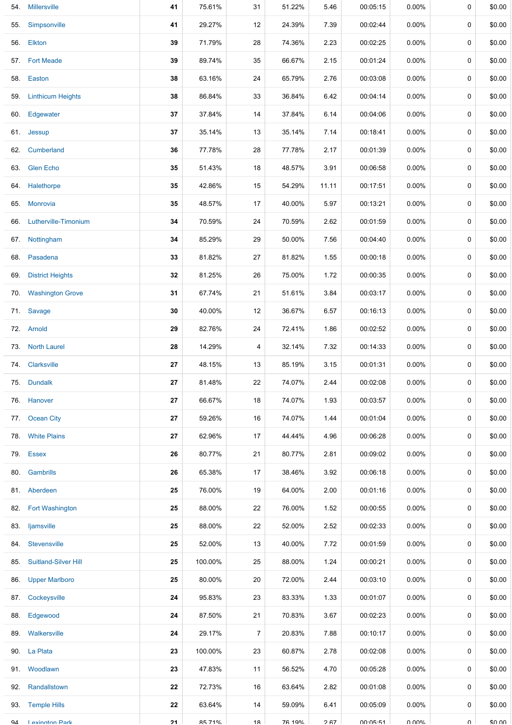| 54. | <b>Millersville</b>         | 41 | 75.61%  | 31 | 51.22% | 5.46  | 00:05:15 | $0.00\%$ | 0      | \$0.00 |
|-----|-----------------------------|----|---------|----|--------|-------|----------|----------|--------|--------|
| 55. | Simpsonville                | 41 | 29.27%  | 12 | 24.39% | 7.39  | 00:02:44 | $0.00\%$ | 0      | \$0.00 |
|     | 56. Elkton                  | 39 | 71.79%  | 28 | 74.36% | 2.23  | 00:02:25 | $0.00\%$ | 0      | \$0.00 |
| 57. | <b>Fort Meade</b>           | 39 | 89.74%  | 35 | 66.67% | 2.15  | 00:01:24 | $0.00\%$ | 0      | \$0.00 |
| 58. | Easton                      | 38 | 63.16%  | 24 | 65.79% | 2.76  | 00:03:08 | $0.00\%$ | 0      | \$0.00 |
| 59. | <b>Linthicum Heights</b>    | 38 | 86.84%  | 33 | 36.84% | 6.42  | 00:04:14 | $0.00\%$ | 0      | \$0.00 |
| 60. | Edgewater                   | 37 | 37.84%  | 14 | 37.84% | 6.14  | 00:04:06 | $0.00\%$ | 0      | \$0.00 |
| 61. | Jessup                      | 37 | 35.14%  | 13 | 35.14% | 7.14  | 00:18:41 | $0.00\%$ | 0      | \$0.00 |
| 62. | Cumberland                  | 36 | 77.78%  | 28 | 77.78% | 2.17  | 00:01:39 | $0.00\%$ | 0      | \$0.00 |
| 63. | <b>Glen Echo</b>            | 35 | 51.43%  | 18 | 48.57% | 3.91  | 00:06:58 | $0.00\%$ | 0      | \$0.00 |
|     | 64. Halethorpe              | 35 | 42.86%  | 15 | 54.29% | 11.11 | 00:17:51 | $0.00\%$ | 0      | \$0.00 |
| 65. | <b>Monrovia</b>             | 35 | 48.57%  | 17 | 40.00% | 5.97  | 00:13:21 | $0.00\%$ | 0      | \$0.00 |
| 66. | Lutherville-Timonium        | 34 | 70.59%  | 24 | 70.59% | 2.62  | 00:01:59 | $0.00\%$ | 0      | \$0.00 |
| 67. | Nottingham                  | 34 | 85.29%  | 29 | 50.00% | 7.56  | 00:04:40 | $0.00\%$ | 0      | \$0.00 |
| 68. | Pasadena                    | 33 | 81.82%  | 27 | 81.82% | 1.55  | 00:00:18 | $0.00\%$ | 0      | \$0.00 |
| 69. | <b>District Heights</b>     | 32 | 81.25%  | 26 | 75.00% | 1.72  | 00:00:35 | $0.00\%$ | 0      | \$0.00 |
| 70. | <b>Washington Grove</b>     | 31 | 67.74%  | 21 | 51.61% | 3.84  | 00:03:17 | $0.00\%$ | 0      | \$0.00 |
| 71. | Savage                      | 30 | 40.00%  | 12 | 36.67% | 6.57  | 00:16:13 | $0.00\%$ | 0      | \$0.00 |
|     | 72. Arnold                  | 29 | 82.76%  | 24 | 72.41% | 1.86  | 00:02:52 | $0.00\%$ | 0      | \$0.00 |
|     | 73. North Laurel            | 28 | 14.29%  | 4  | 32.14% | 7.32  | 00:14:33 | $0.00\%$ | 0      | \$0.00 |
| 74. | Clarksville                 | 27 | 48.15%  | 13 | 85.19% | 3.15  | 00:01:31 | $0.00\%$ | 0      | \$0.00 |
|     | 75. Dundalk                 | 27 | 81.48%  | 22 | 74.07% | 2.44  | 00:02:08 | $0.00\%$ | 0      | \$0.00 |
|     | 76. Hanover                 | 27 | 66.67%  | 18 | 74.07% | 1.93  | 00:03:57 | $0.00\%$ | 0      | \$0.00 |
| 77. | Ocean City                  | 27 | 59.26%  | 16 | 74.07% | 1.44  | 00:01:04 | $0.00\%$ | 0      | \$0.00 |
| 78. | <b>White Plains</b>         | 27 | 62.96%  | 17 | 44.44% | 4.96  | 00:06:28 | $0.00\%$ | 0      | \$0.00 |
|     | 79. Essex                   | 26 | 80.77%  | 21 | 80.77% | 2.81  | 00:09:02 | $0.00\%$ | 0      | \$0.00 |
|     | 80. Gambrills               | 26 | 65.38%  | 17 | 38.46% | 3.92  | 00:06:18 | $0.00\%$ | 0      | \$0.00 |
|     | 81. Aberdeen                | 25 | 76.00%  | 19 | 64.00% | 2.00  | 00:01:16 | $0.00\%$ | 0      | \$0.00 |
| 82. | <b>Fort Washington</b>      | 25 | 88.00%  | 22 | 76.00% | 1.52  | 00:00:55 | $0.00\%$ | 0      | \$0.00 |
| 83. | ljamsville                  | 25 | 88.00%  | 22 | 52.00% | 2.52  | 00:02:33 | $0.00\%$ | 0      | \$0.00 |
| 84. | Stevensville                | 25 | 52.00%  | 13 | 40.00% | 7.72  | 00:01:59 | $0.00\%$ | 0      | \$0.00 |
| 85. | <b>Suitland-Silver Hill</b> | 25 | 100.00% | 25 | 88.00% | 1.24  | 00:00:21 | $0.00\%$ | 0      | \$0.00 |
| 86. | <b>Upper Marlboro</b>       | 25 | 80.00%  | 20 | 72.00% | 2.44  | 00:03:10 | $0.00\%$ | 0      | \$0.00 |
| 87. | Cockeysville                | 24 | 95.83%  | 23 | 83.33% | 1.33  | 00:01:07 | $0.00\%$ | 0      | \$0.00 |
| 88. | Edgewood                    | 24 | 87.50%  | 21 | 70.83% | 3.67  | 00:02:23 | $0.00\%$ | 0      | \$0.00 |
|     | 89. Walkersville            | 24 | 29.17%  | 7  | 20.83% | 7.88  | 00:10:17 | $0.00\%$ | 0      | \$0.00 |
|     | 90. La Plata                | 23 | 100.00% | 23 | 60.87% | 2.78  | 00:02:08 | $0.00\%$ | 0      | \$0.00 |
|     | 91. Woodlawn                | 23 | 47.83%  | 11 | 56.52% | 4.70  | 00:05:28 | $0.00\%$ | 0      | \$0.00 |
| 92. | Randallstown                | 22 | 72.73%  | 16 | 63.64% | 2.82  | 00:01:08 | $0.00\%$ | 0      | \$0.00 |
| 93. | <b>Temple Hills</b>         | 22 | 63.64%  | 14 | 59.09% | 6.41  | 00:05:09 | $0.00\%$ | 0      | \$0.00 |
| QΔ  | <b>Lexington Park</b>       | 21 | 85 71%  | 18 | 76 10% | 2.67  | 00.05.51 | ህ ሀሀላ"   | $\cap$ | \$0.00 |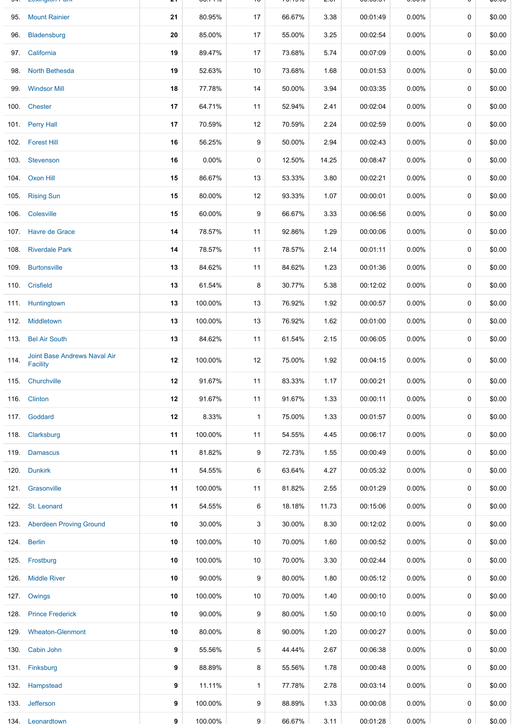|      | 95. Mount Rainier                               | 21 | 80.95%  | 17           | 66.67% | 3.38  | 00:01:49 | $0.00\%$ | 0 | \$0.00 |
|------|-------------------------------------------------|----|---------|--------------|--------|-------|----------|----------|---|--------|
|      | 96. Bladensburg                                 | 20 | 85.00%  | 17           | 55.00% | 3.25  | 00:02:54 | $0.00\%$ | 0 | \$0.00 |
|      | 97. California                                  | 19 | 89.47%  | 17           | 73.68% | 5.74  | 00:07:09 | $0.00\%$ | 0 | \$0.00 |
|      | 98. North Bethesda                              | 19 | 52.63%  | 10           | 73.68% | 1.68  | 00:01:53 | $0.00\%$ | 0 | \$0.00 |
|      | 99. Windsor Mill                                | 18 | 77.78%  | 14           | 50.00% | 3.94  | 00:03:35 | $0.00\%$ | 0 | \$0.00 |
|      | 100. Chester                                    | 17 | 64.71%  | 11           | 52.94% | 2.41  | 00:02:04 | 0.00%    | 0 | \$0.00 |
|      | 101. Perry Hall                                 | 17 | 70.59%  | 12           | 70.59% | 2.24  | 00:02:59 | $0.00\%$ | 0 | \$0.00 |
|      | 102. Forest Hill                                | 16 | 56.25%  | 9            | 50.00% | 2.94  | 00:02:43 | $0.00\%$ | 0 | \$0.00 |
|      | 103. Stevenson                                  | 16 | 0.00%   | 0            | 12.50% | 14.25 | 00:08:47 | $0.00\%$ | 0 | \$0.00 |
|      | 104. Oxon Hill                                  | 15 | 86.67%  | 13           | 53.33% | 3.80  | 00:02:21 | $0.00\%$ | 0 | \$0.00 |
|      | 105. Rising Sun                                 | 15 | 80.00%  | 12           | 93.33% | 1.07  | 00:00:01 | $0.00\%$ | 0 | \$0.00 |
|      | 106. Colesville                                 | 15 | 60.00%  | 9            | 66.67% | 3.33  | 00:06:56 | $0.00\%$ | 0 | \$0.00 |
|      | 107. Havre de Grace                             | 14 | 78.57%  | 11           | 92.86% | 1.29  | 00:00:06 | $0.00\%$ | 0 | \$0.00 |
|      | 108. Riverdale Park                             | 14 | 78.57%  | 11           | 78.57% | 2.14  | 00:01:11 | $0.00\%$ | 0 | \$0.00 |
|      | 109. Burtonsville                               | 13 | 84.62%  | 11           | 84.62% | 1.23  | 00:01:36 | $0.00\%$ | 0 | \$0.00 |
|      | 110. Crisfield                                  | 13 | 61.54%  | 8            | 30.77% | 5.38  | 00:12:02 | $0.00\%$ | 0 | \$0.00 |
|      | 111. Huntingtown                                | 13 | 100.00% | 13           | 76.92% | 1.92  | 00:00:57 | $0.00\%$ | 0 | \$0.00 |
|      | 112. Middletown                                 | 13 | 100.00% | 13           | 76.92% | 1.62  | 00:01:00 | $0.00\%$ | 0 | \$0.00 |
|      | 113. Bel Air South                              | 13 | 84.62%  | 11           | 61.54% | 2.15  | 00:06:05 | $0.00\%$ | 0 | \$0.00 |
| 114. | Joint Base Andrews Naval Air<br><b>Facility</b> | 12 | 100.00% | 12           | 75.00% | 1.92  | 00:04:15 | $0.00\%$ | 0 | \$0.00 |
|      | 115. Churchville                                | 12 | 91.67%  | 11           | 83.33% | 1.17  | 00:00:21 | $0.00\%$ | 0 | \$0.00 |
|      | 116. Clinton                                    | 12 | 91.67%  | 11           | 91.67% | 1.33  | 00:00:11 | $0.00\%$ | 0 | \$0.00 |
|      | 117. Goddard                                    | 12 | 8.33%   | $\mathbf{1}$ | 75.00% | 1.33  | 00:01:57 | $0.00\%$ | 0 | \$0.00 |
|      | 118. Clarksburg                                 | 11 | 100.00% | 11           | 54.55% | 4.45  | 00:06:17 | $0.00\%$ | 0 | \$0.00 |
|      | 119. Damascus                                   | 11 | 81.82%  | 9            | 72.73% | 1.55  | 00:00:49 | $0.00\%$ | 0 | \$0.00 |
|      | 120. Dunkirk                                    | 11 | 54.55%  | 6            | 63.64% | 4.27  | 00:05:32 | $0.00\%$ | 0 | \$0.00 |
|      | 121. Grasonville                                | 11 | 100.00% | 11           | 81.82% | 2.55  | 00:01:29 | 0.00%    | 0 | \$0.00 |
|      | 122. St. Leonard                                | 11 | 54.55%  | 6            | 18.18% | 11.73 | 00:15:06 | $0.00\%$ | 0 | \$0.00 |
|      | 123. Aberdeen Proving Ground                    | 10 | 30.00%  | 3            | 30.00% | 8.30  | 00:12:02 | 0.00%    | 0 | \$0.00 |
|      | 124. Berlin                                     | 10 | 100.00% | 10           | 70.00% | 1.60  | 00:00:52 | $0.00\%$ | 0 | \$0.00 |
|      | 125. Frostburg                                  | 10 | 100.00% | 10           | 70.00% | 3.30  | 00:02:44 | $0.00\%$ | 0 | \$0.00 |
|      | 126 Middle River                                | 10 | 90.00%  | 9            | 80.00% | 1.80  | 00:05:12 | $0.00\%$ | 0 | \$0.00 |
|      | 127. Owings                                     | 10 | 100.00% | 10           | 70.00% | 1.40  | 00:00:10 | $0.00\%$ | 0 | \$0.00 |
|      | 128. Prince Frederick                           | 10 | 90.00%  | 9            | 80.00% | 1.50  | 00:00:10 | $0.00\%$ | 0 | \$0.00 |
|      | 129. Wheaton-Glenmont                           | 10 | 80.00%  | 8            | 90.00% | 1.20  | 00:00:27 | $0.00\%$ | 0 | \$0.00 |
|      | 130. Cabin John                                 | 9  | 55.56%  | 5            | 44.44% | 2.67  | 00:06:38 | $0.00\%$ | 0 | \$0.00 |
|      | 131. Finksburg                                  | 9  | 88.89%  | 8            | 55.56% | 1.78  | 00:00:48 | $0.00\%$ | 0 | \$0.00 |
|      | 132. Hampstead                                  | 9  | 11.11%  | $\mathbf{1}$ | 77.78% | 2.78  | 00:03:14 | $0.00\%$ | 0 | \$0.00 |
|      | 133. Jefferson                                  | 9  | 100.00% | 9            | 88.89% | 1.33  | 00:00:08 | $0.00\%$ | 0 | \$0.00 |
|      | 134. Leonardtown                                | 9  | 100.00% | 9            | 66.67% | 3.11  | 00:01:28 | $0.00\%$ | 0 | \$0.00 |

94. Lexington Park **21** 85.71% 18 76.19% 2.67 00:05:51 0.00% 0 \$0.00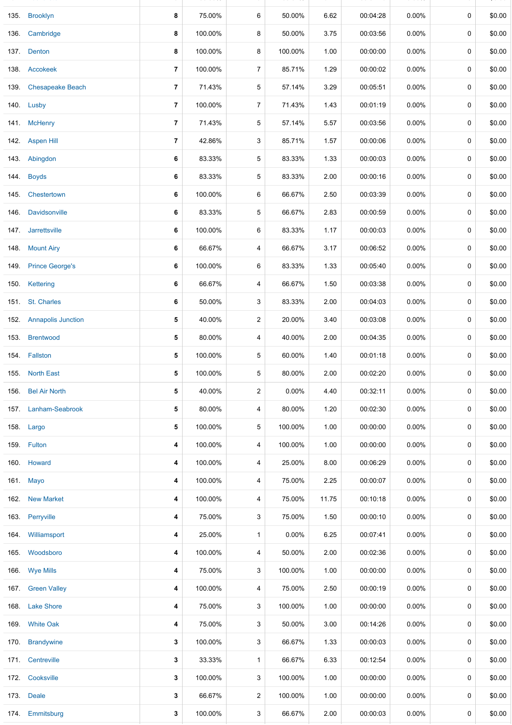|      | 135. Brooklyn           | 8              | 75.00%  | 6              | 50.00%   | 6.62  | 00:04:28 | 0.00%    | 0           | \$0.00 |
|------|-------------------------|----------------|---------|----------------|----------|-------|----------|----------|-------------|--------|
|      | 136. Cambridge          | 8              | 100.00% | 8              | 50.00%   | 3.75  | 00:03:56 | $0.00\%$ | 0           | \$0.00 |
|      | 137. Denton             | 8              | 100.00% | 8              | 100.00%  | 1.00  | 00:00:00 | $0.00\%$ | 0           | \$0.00 |
|      | 138. Accokeek           | $\overline{7}$ | 100.00% | 7              | 85.71%   | 1.29  | 00:00:02 | $0.00\%$ | 0           | \$0.00 |
|      | 139. Chesapeake Beach   | $\overline{7}$ | 71.43%  | 5              | 57.14%   | 3.29  | 00:05:51 | $0.00\%$ | 0           | \$0.00 |
|      | 140. Lusby              | $\overline{7}$ | 100.00% | 7              | 71.43%   | 1.43  | 00:01:19 | $0.00\%$ | 0           | \$0.00 |
|      | 141. McHenry            | $\overline{7}$ | 71.43%  | 5              | 57.14%   | 5.57  | 00:03:56 | $0.00\%$ | 0           | \$0.00 |
|      | 142. Aspen Hill         | 7              | 42.86%  | 3              | 85.71%   | 1.57  | 00:00:06 | $0.00\%$ | 0           | \$0.00 |
|      | 143. Abingdon           | 6              | 83.33%  | 5              | 83.33%   | 1.33  | 00:00:03 | $0.00\%$ | 0           | \$0.00 |
|      | 144. Boyds              | 6              | 83.33%  | 5              | 83.33%   | 2.00  | 00:00:16 | 0.00%    | 0           | \$0.00 |
| 145. | Chestertown             | 6              | 100.00% | 6              | 66.67%   | 2.50  | 00:03:39 | $0.00\%$ | 0           | \$0.00 |
| 146. | Davidsonville           | 6              | 83.33%  | 5              | 66.67%   | 2.83  | 00:00:59 | 0.00%    | 0           | \$0.00 |
|      | 147 Jarrettsville       | 6              | 100.00% | 6              | 83.33%   | 1.17  | 00:00:03 | 0.00%    | 0           | \$0.00 |
|      | 148. Mount Airy         | 6              | 66.67%  | 4              | 66.67%   | 3.17  | 00:06:52 | 0.00%    | 0           | \$0.00 |
|      | 149. Prince George's    | 6              | 100.00% | 6              | 83.33%   | 1.33  | 00:05:40 | $0.00\%$ | 0           | \$0.00 |
|      | 150. Kettering          | 6              | 66.67%  | 4              | 66.67%   | 1.50  | 00:03:38 | $0.00\%$ | 0           | \$0.00 |
|      | 151. St. Charles        | 6              | 50.00%  | 3              | 83.33%   | 2.00  | 00:04:03 | $0.00\%$ | 0           | \$0.00 |
|      | 152. Annapolis Junction | 5              | 40.00%  | 2              | 20.00%   | 3.40  | 00:03:08 | $0.00\%$ | 0           | \$0.00 |
|      | 153. Brentwood          | 5              | 80.00%  | 4              | 40.00%   | 2.00  | 00:04:35 | $0.00\%$ | 0           | \$0.00 |
|      | 154. Fallston           | 5              | 100.00% | 5              | 60.00%   | 1.40  | 00:01:18 | $0.00\%$ | 0           | \$0.00 |
|      | 155. North East         | 5              | 100.00% | 5              | 80.00%   | 2.00  | 00:02:20 | $0.00\%$ | $\mathbf 0$ | \$0.00 |
|      | 156. Bel Air North      | 5              | 40.00%  | $\overline{a}$ | 0.00%    | 4.40  | 00:32:11 | 0.00%    | 0           | \$0.00 |
|      | 157. Lanham-Seabrook    | 5              | 80.00%  | 4              | 80.00%   | 1.20  | 00:02:30 | $0.00\%$ | 0           | \$0.00 |
|      | 158. Largo              | 5              | 100.00% | 5              | 100.00%  | 1.00  | 00:00:00 | $0.00\%$ | 0           | \$0.00 |
|      | 159. Fulton             | 4              | 100.00% | 4              | 100.00%  | 1.00  | 00:00:00 | $0.00\%$ | 0           | \$0.00 |
|      | 160. Howard             | 4              | 100.00% | 4              | 25.00%   | 8.00  | 00:06:29 | $0.00\%$ | 0           | \$0.00 |
|      | 161. Mayo               | 4              | 100.00% | 4              | 75.00%   | 2.25  | 00:00:07 | $0.00\%$ | 0           | \$0.00 |
| 162. | <b>New Market</b>       | 4              | 100.00% | 4              | 75.00%   | 11.75 | 00:10:18 | $0.00\%$ | 0           | \$0.00 |
| 163. | Perryville              | 4              | 75.00%  | 3              | 75.00%   | 1.50  | 00:00:10 | $0.00\%$ | 0           | \$0.00 |
|      | 164. Williamsport       | 4              | 25.00%  | $\mathbf{1}$   | $0.00\%$ | 6.25  | 00:07:41 | $0.00\%$ | 0           | \$0.00 |
|      | 165. Woodsboro          | 4              | 100.00% | 4              | 50.00%   | 2.00  | 00:02:36 | $0.00\%$ | 0           | \$0.00 |
|      | 166. Wye Mills          | 4              | 75.00%  | 3              | 100.00%  | 1.00  | 00:00:00 | $0.00\%$ | 0           | \$0.00 |
|      | 167. Green Valley       | 4              | 100.00% | 4              | 75.00%   | 2.50  | 00:00:19 | $0.00\%$ | 0           | \$0.00 |
|      | 168. Lake Shore         | 4              | 75.00%  | 3              | 100.00%  | 1.00  | 00:00:00 | $0.00\%$ | 0           | \$0.00 |
|      | 169. White Oak          | 4              | 75.00%  | 3              | 50.00%   | 3.00  | 00:14:26 | $0.00\%$ | 0           | \$0.00 |
| 170. | <b>Brandywine</b>       | 3              | 100.00% | 3              | 66.67%   | 1.33  | 00:00:03 | $0.00\%$ | 0           | \$0.00 |
|      | 171. Centreville        | 3              | 33.33%  | $\mathbf{1}$   | 66.67%   | 6.33  | 00:12:54 | $0.00\%$ | 0           | \$0.00 |
|      | 172. Cooksville         | 3              | 100.00% | 3              | 100.00%  | 1.00  | 00:00:00 | $0.00\%$ | 0           | \$0.00 |
|      | 173. Deale              | 3              | 66.67%  | 2              | 100.00%  | 1.00  | 00:00:00 | $0.00\%$ | 0           | \$0.00 |
|      | 174 Emmitsburg          | 3              | 100.00% | 3              | 66.67%   | 2.00  | 00:00:03 | 0.00%    | 0           | \$0.00 |
|      |                         |                |         |                |          |       |          |          |             |        |

134. Leonardtown **9** 100.00% 9 66.67% 3.11 00:01:28 0.00% 0 \$0.00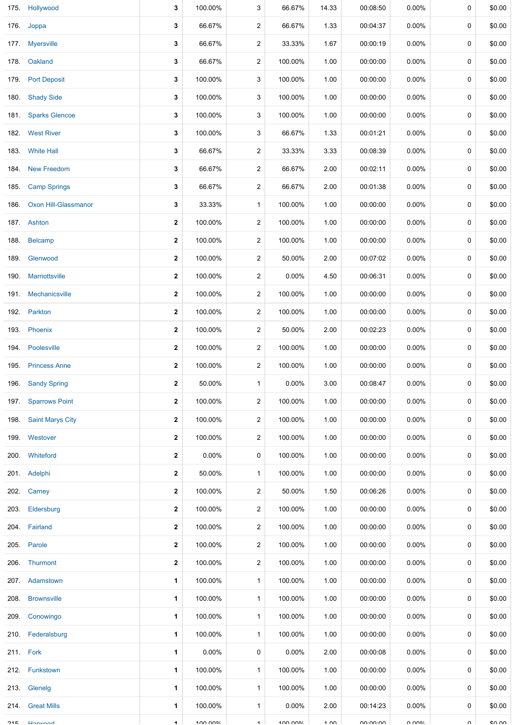| 175. | Hollywood               | 3                    | 100.00%          | 3                    | 66.67%   | 14.33    | 00:08:50                  | 0.00%                   | 0           | \$0.00  |
|------|-------------------------|----------------------|------------------|----------------------|----------|----------|---------------------------|-------------------------|-------------|---------|
|      | 176. Joppa              | 3                    | 66.67%           | $\overline{a}$       | 66.67%   | 1.33     | 00:04:37                  | 0.00%                   | 0           | \$0.00  |
|      | 177. Myersville         | 3                    | 66.67%           | $\overline{a}$       | 33.33%   | 1.67     | 00:00:19                  | $0.00\%$                | 0           | \$0.00  |
|      | 178. Oakland            | 3                    | 66.67%           | $\overline{2}$       | 100.00%  | 1.00     | 00:00:00                  | $0.00\%$                | 0           | \$0.00  |
| 179. | <b>Port Deposit</b>     | 3                    | 100.00%          | 3                    | 100.00%  | 1.00     | 00:00:00                  | 0.00%                   | 0           | \$0.00  |
|      | 180. Shady Side         | 3                    | 100.00%          | 3                    | 100.00%  | 1.00     | 00:00:00                  | $0.00\%$                | 0           | \$0.00  |
|      | 181. Sparks Glencoe     | 3                    | 100.00%          | 3                    | 100.00%  | 1.00     | 00:00:00                  | $0.00\%$                | 0           | \$0.00  |
|      | 182. West River         | 3                    | 100.00%          | 3                    | 66.67%   | 1.33     | 00:01:21                  | $0.00\%$                | 0           | \$0.00  |
|      | 183. White Hall         | 3                    | 66.67%           | 2                    | 33.33%   | 3.33     | 00:08:39                  | 0.00%                   | 0           | \$0.00  |
| 184. | <b>New Freedom</b>      | 3                    | 66.67%           | $\overline{a}$       | 66.67%   | 2.00     | 00:02:11                  | 0.00%                   | 0           | \$0.00  |
| 185. | <b>Camp Springs</b>     | 3                    | 66.67%           | 2                    | 66.67%   | 2.00     | 00:01:38                  | 0.00%                   | 0           | \$0.00  |
| 186. | Oxon Hill-Glassmanor    | 3                    | 33.33%           | $\mathbf{1}$         | 100.00%  | 1.00     | 00:00:00                  | 0.00%                   | 0           | \$0.00  |
|      | 187. Ashton             | 2                    | 100.00%          | 2                    | 100.00%  | 1.00     | 00:00:00                  | $0.00\%$                | 0           | \$0.00  |
| 188. | Belcamp                 | $\mathbf{2}$         | 100.00%          | $\overline{c}$       | 100.00%  | 1.00     | 00:00:00                  | $0.00\%$                | 0           | \$0.00  |
| 189. | Glenwood                | 2                    | 100.00%          | 2                    | 50.00%   | 2.00     | 00:07:02                  | $0.00\%$                | 0           | \$0.00  |
| 190. | Marriottsville          | $\mathbf{2}$         | 100.00%          | 2                    | $0.00\%$ | 4.50     | 00:06:31                  | $0.00\%$                | 0           | \$0.00  |
| 191. | Mechanicsville          | $\mathbf{2}$         | 100.00%          | $\overline{a}$       | 100.00%  | 1.00     | 00:00:00                  | $0.00\%$                | 0           | \$0.00  |
|      | 192. Parkton            | 2                    | 100.00%          | $\overline{c}$       | 100.00%  | 1.00     | 00:00:00                  | $0.00\%$                | $\mathbf 0$ | \$0.00  |
|      | 193. Phoenix            | $\mathbf{2}$         | 100.00%          | $\overline{c}$       | 50.00%   | 2.00     | 00:02:23                  | $0.00\%$                | 0           | \$0.00  |
|      | 194. Poolesville        | 2                    | 100.00%          | 2                    | 100.00%  | 1.00     | 00:00:00                  | $0.00\%$                | 0           | \$0.00  |
| 195. | <b>Princess Anne</b>    | $\mathbf{2}$         | 100.00%          | $\overline{c}$       | 100.00%  | 1.00     | 00:00:00                  | $0.00\%$                | 0           | \$0.00  |
|      | 196. Sandy Spring       | 2                    | 50.00%           | $\mathbf{1}$         | $0.00\%$ | 3.00     | 00:08:47                  | $0.00\%$                | 0           | \$0.00  |
|      | 197. Sparrows Point     | $\mathbf{2}$         | 100.00%          | $\overline{2}$       | 100.00%  | 1.00     | 00:00:00                  | $0.00\%$                | 0           | \$0.00  |
| 198. | <b>Saint Marys City</b> | $\mathbf{2}$         | 100.00%          | 2                    | 100.00%  | 1.00     | 00:00:00                  | $0.00\%$                | 0           | \$0.00  |
| 199. | Westover                | $\mathbf{2}$         | 100.00%          | 2                    | 100.00%  | 1.00     | 00:00:00                  | $0.00\%$                | 0           | \$0.00  |
| 200. | Whiteford               | 2                    | 0.00%            | 0                    | 100.00%  | 1.00     | 00:00:00                  | $0.00\%$                | 0           | \$0.00  |
|      | 201. Adelphi            | $\mathbf{2}$         | 50.00%           | 1                    | 100.00%  | 1.00     | 00:00:00                  | $0.00\%$                | 0           | \$0.00  |
|      | 202. Carney             | 2                    | 100.00%          | 2                    | 50.00%   | 1.50     | 00:06:26                  | $0.00\%$                | 0           | \$0.00  |
| 203. | Eldersburg              | $\mathbf{2}$         | 100.00%          | 2                    | 100.00%  | 1.00     | 00:00:00                  | $0.00\%$                | 0           | \$0.00  |
|      | 204. Fairland           | 2                    | 100.00%          | 2                    | 100.00%  | 1.00     | 00:00:00                  | $0.00\%$                | 0           | \$0.00  |
|      | 205. Parole             | $\mathbf{2}$         | 100.00%          | 2                    | 100.00%  | 1.00     | 00:00:00                  | $0.00\%$                | 0           | \$0.00  |
|      | 206. Thurmont           | $\mathbf{2}$         | 100.00%          | $\overline{c}$       | 100.00%  | 1.00     | 00:00:00                  | $0.00\%$                | 0           | \$0.00  |
| 207. | Adamstown               | 1                    | 100.00%          | 1                    | 100.00%  | 1.00     | 00:00:00                  | $0.00\%$                | 0           | \$0.00  |
| 208. | <b>Brownsville</b>      | 1                    | 100.00%          | $\mathbf 1$          | 100.00%  | 1.00     | 00:00:00                  | $0.00\%$                | 0           | \$0.00  |
|      | 209. Conowingo          | 1                    | 100.00%          | 1                    | 100.00%  | 1.00     | 00:00:00                  | $0.00\%$                | 0           | \$0.00  |
|      | 210. Federalsburg       | 1                    | 100.00%          | $\mathbf 1$          | 100.00%  | 1.00     | 00:00:00                  | $0.00\%$                | 0           | \$0.00  |
|      | 211. Fork               | 1                    | 0.00%            | 0                    | $0.00\%$ | 2.00     | 00:00:08                  | $0.00\%$                | 0           | \$0.00  |
|      | 212. Funkstown          | 1                    | 100.00%          | $\mathbf{1}$         | 100.00%  | 1.00     | 00:00:00                  | $0.00\%$                | 0           | \$0.00  |
|      | 213. Glenelg            | 1                    | 100.00%          | 1                    | 100.00%  | 1.00     | 00:00:00                  | $0.00\%$                | 0           | \$0.00  |
| 214. | <b>Great Mills</b>      | 1                    | 100.00%          | $\mathbf{1}$         | $0.00\%$ | 2.00     | 00:14:23                  | $0.00\%$                | 0           | \$0.00  |
| つイに  | <b>Honupod</b>          | $\blacktriangleleft$ | $100 \times 100$ | $\blacktriangleleft$ | 100 000  | $1 \n m$ | $n n \cdot n n \cdot n n$ | $\cap$ $\cap$ $\circ$ / | $\sim$      | $en$ nn |